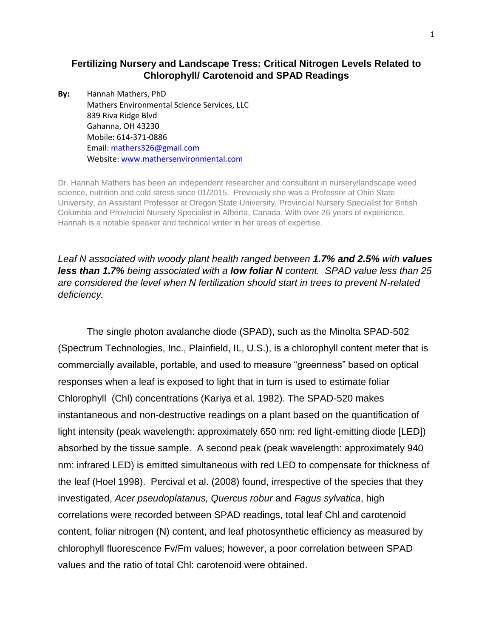## **Fertilizing Nursery and Landscape Tress: Critical Nitrogen Levels Related to Chlorophyll/ Carotenoid and SPAD Readings**

**By:** Hannah Mathers, PhD Mathers Environmental Science Services, LLC 839 Riva Ridge Blvd Gahanna, OH 43230 Mobile: 614-371-0886 Email: [mathers326@gmail.com](mailto:mathers326@gmail.com) Website[: www.mathersenvironmental.com](http://www.mathersenvironmental.com/)

Dr. Hannah Mathers has been an independent researcher and consultant in nursery/landscape weed science, nutrition and cold stress since 01/2015. Previously she was a Professor at Ohio State University, an Assistant Professor at Oregon State University, Provincial Nursery Specialist for British Columbia and Provincial Nursery Specialist in Alberta, Canada. With over 26 years of experience, Hannah is a notable speaker and technical writer in her areas of expertise.

*Leaf N associated with woody plant health ranged between 1.7% and 2.5% with values less than 1.7% being associated with a low foliar N content. SPAD value less than 25 are considered the level when N fertilization should start in trees to prevent N-related deficiency.*

The single photon avalanche diode (SPAD), such as the Minolta SPAD-502 (Spectrum Technologies, Inc., Plainfield, IL, U.S.), is a chlorophyll content meter that is commercially available, portable, and used to measure "greenness" based on optical responses when a leaf is exposed to light that in turn is used to estimate foliar Chlorophyll (Chl) concentrations (Kariya et al. 1982). The SPAD-520 makes instantaneous and non-destructive readings on a plant based on the quantification of light intensity (peak wavelength: approximately 650 nm: red light-emitting diode [LED]) absorbed by the tissue sample. A second peak (peak wavelength: approximately 940 nm: infrared LED) is emitted simultaneous with red LED to compensate for thickness of the leaf (Hoel 1998). Percival et al. (2008) found, irrespective of the species that they investigated, *Acer pseudoplatanus, Quercus robur* and *Fagus sylvatica*, high correlations were recorded between SPAD readings, total leaf Chl and carotenoid content, foliar nitrogen (N) content, and leaf photosynthetic efficiency as measured by chlorophyll fluorescence Fv/Fm values; however, a poor correlation between SPAD values and the ratio of total Chl: carotenoid were obtained.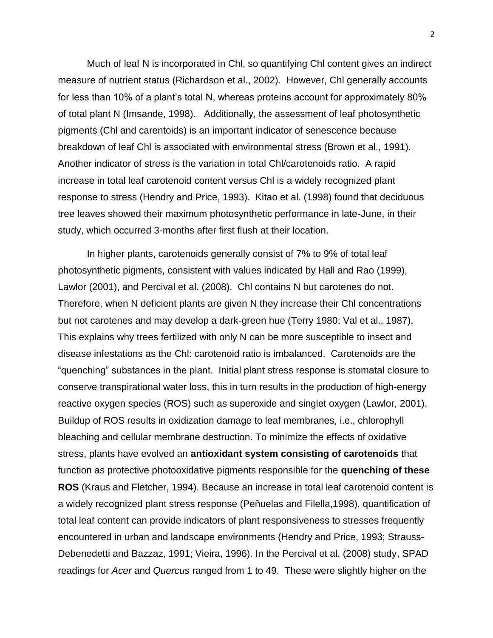Much of leaf N is incorporated in Chl, so quantifying Chl content gives an indirect measure of nutrient status (Richardson et al., 2002). However, Chl generally accounts for less than 10% of a plant's total N, whereas proteins account for approximately 80% of total plant N (Imsande, 1998). Additionally, the assessment of leaf photosynthetic pigments (Chl and carentoids) is an important indicator of senescence because breakdown of leaf Chl is associated with environmental stress (Brown et al., 1991). Another indicator of stress is the variation in total Chl/carotenoids ratio. A rapid increase in total leaf carotenoid content versus Chl is a widely recognized plant response to stress (Hendry and Price, 1993). Kitao et al. (1998) found that deciduous tree leaves showed their maximum photosynthetic performance in late-June, in their study, which occurred 3-months after first flush at their location.

In higher plants, carotenoids generally consist of 7% to 9% of total leaf photosynthetic pigments, consistent with values indicated by Hall and Rao (1999), Lawlor (2001), and Percival et al. (2008). Chl contains N but carotenes do not. Therefore, when N deficient plants are given N they increase their Chl concentrations but not carotenes and may develop a dark-green hue (Terry 1980; Val et al., 1987). This explains why trees fertilized with only N can be more susceptible to insect and disease infestations as the Chl: carotenoid ratio is imbalanced. Carotenoids are the "quenching" substances in the plant. Initial plant stress response is stomatal closure to conserve transpirational water loss, this in turn results in the production of high-energy reactive oxygen species (ROS) such as superoxide and singlet oxygen (Lawlor, 2001). Buildup of ROS results in oxidization damage to leaf membranes, i.e., chlorophyll bleaching and cellular membrane destruction. To minimize the effects of oxidative stress, plants have evolved an **antioxidant system consisting of carotenoids** that function as protective photooxidative pigments responsible for the **quenching of these ROS** (Kraus and Fletcher, 1994). Because an increase in total leaf carotenoid content is a widely recognized plant stress response (Peñuelas and Filella,1998), quantification of total leaf content can provide indicators of plant responsiveness to stresses frequently encountered in urban and landscape environments (Hendry and Price, 1993; Strauss-Debenedetti and Bazzaz, 1991; Vieira, 1996). In the Percival et al. (2008) study, SPAD readings for *Acer* and *Quercus* ranged from 1 to 49. These were slightly higher on the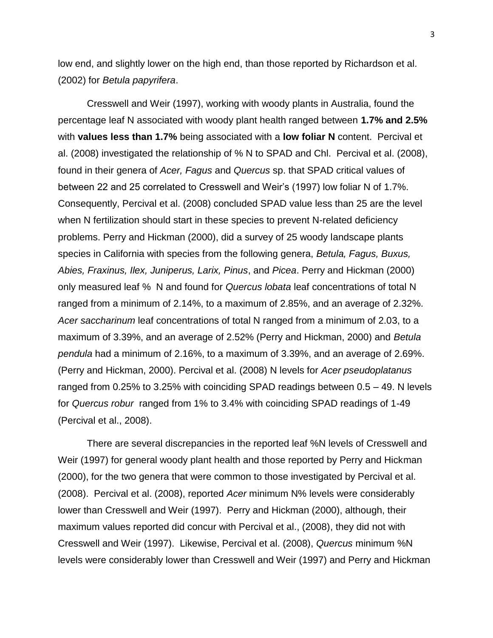low end, and slightly lower on the high end, than those reported by Richardson et al. (2002) for *Betula papyrifera*.

Cresswell and Weir (1997), working with woody plants in Australia, found the percentage leaf N associated with woody plant health ranged between **1.7% and 2.5%** with **values less than 1.7%** being associated with a **low foliar N** content. Percival et al. (2008) investigated the relationship of % N to SPAD and Chl. Percival et al. (2008), found in their genera of *Acer, Fagus* and *Quercus* sp. that SPAD critical values of between 22 and 25 correlated to Cresswell and Weir's (1997) low foliar N of 1.7%. Consequently, Percival et al. (2008) concluded SPAD value less than 25 are the level when N fertilization should start in these species to prevent N-related deficiency problems. Perry and Hickman (2000), did a survey of 25 woody landscape plants species in California with species from the following genera, *Betula, Fagus, Buxus, Abies, Fraxinus, Ilex, Juniperus, Larix, Pinus*, and *Picea*. Perry and Hickman (2000) only measured leaf % N and found for *Quercus lobata* leaf concentrations of total N ranged from a minimum of 2.14%, to a maximum of 2.85%, and an average of 2.32%. *Acer saccharinum* leaf concentrations of total N ranged from a minimum of 2.03, to a maximum of 3.39%, and an average of 2.52% (Perry and Hickman, 2000) and *Betula pendula* had a minimum of 2.16%, to a maximum of 3.39%, and an average of 2.69%. (Perry and Hickman, 2000). Percival et al. (2008) N levels for *Acer pseudoplatanus* ranged from 0.25% to 3.25% with coinciding SPAD readings between 0.5 – 49. N levels for *Quercus robur* ranged from 1% to 3.4% with coinciding SPAD readings of 1-49 (Percival et al., 2008).

There are several discrepancies in the reported leaf %N levels of Cresswell and Weir (1997) for general woody plant health and those reported by Perry and Hickman (2000), for the two genera that were common to those investigated by Percival et al. (2008). Percival et al. (2008), reported *Acer* minimum N% levels were considerably lower than Cresswell and Weir (1997). Perry and Hickman (2000), although, their maximum values reported did concur with Percival et al., (2008), they did not with Cresswell and Weir (1997). Likewise, Percival et al. (2008), *Quercus* minimum %N levels were considerably lower than Cresswell and Weir (1997) and Perry and Hickman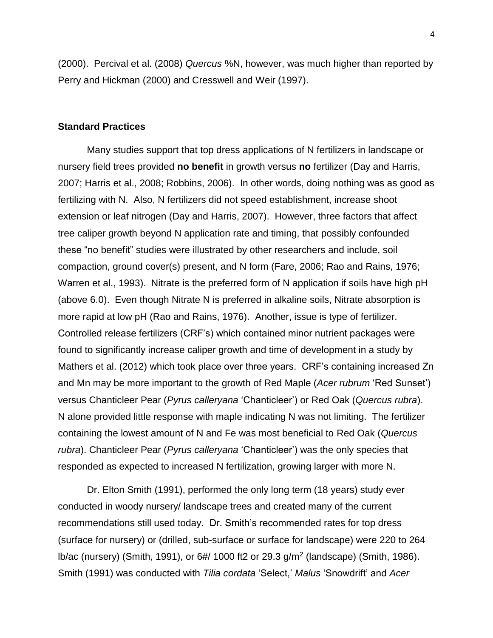(2000). Percival et al. (2008) *Quercus* %N, however, was much higher than reported by Perry and Hickman (2000) and Cresswell and Weir (1997).

#### **Standard Practices**

Many studies support that top dress applications of N fertilizers in landscape or nursery field trees provided **no benefit** in growth versus **no** fertilizer (Day and Harris, 2007; Harris et al., 2008; Robbins, 2006). In other words, doing nothing was as good as fertilizing with N. Also, N fertilizers did not speed establishment, increase shoot extension or leaf nitrogen (Day and Harris, 2007). However, three factors that affect tree caliper growth beyond N application rate and timing, that possibly confounded these "no benefit" studies were illustrated by other researchers and include, soil compaction, ground cover(s) present, and N form (Fare, 2006; Rao and Rains, 1976; Warren et al., 1993). Nitrate is the preferred form of N application if soils have high pH (above 6.0). Even though Nitrate N is preferred in alkaline soils, Nitrate absorption is more rapid at low pH (Rao and Rains, 1976). Another, issue is type of fertilizer. Controlled release fertilizers (CRF's) which contained minor nutrient packages were found to significantly increase caliper growth and time of development in a study by Mathers et al. (2012) which took place over three years. CRF's containing increased Zn and Mn may be more important to the growth of Red Maple (*Acer rubrum* 'Red Sunset') versus Chanticleer Pear (*Pyrus calleryana* 'Chanticleer') or Red Oak (*Quercus rubra*). N alone provided little response with maple indicating N was not limiting. The fertilizer containing the lowest amount of N and Fe was most beneficial to Red Oak (*Quercus rubra*). Chanticleer Pear (*Pyrus calleryana* 'Chanticleer') was the only species that responded as expected to increased N fertilization, growing larger with more N.

Dr. Elton Smith (1991), performed the only long term (18 years) study ever conducted in woody nursery/ landscape trees and created many of the current recommendations still used today. Dr. Smith's recommended rates for top dress (surface for nursery) or (drilled, sub-surface or surface for landscape) were 220 to 264 lb/ac (nursery) (Smith, 1991), or 6#/ 1000 ft2 or 29.3 g/m<sup>2</sup> (landscape) (Smith, 1986). Smith (1991) was conducted with *Tilia cordata* 'Select,' *Malus* 'Snowdrift' and *Acer*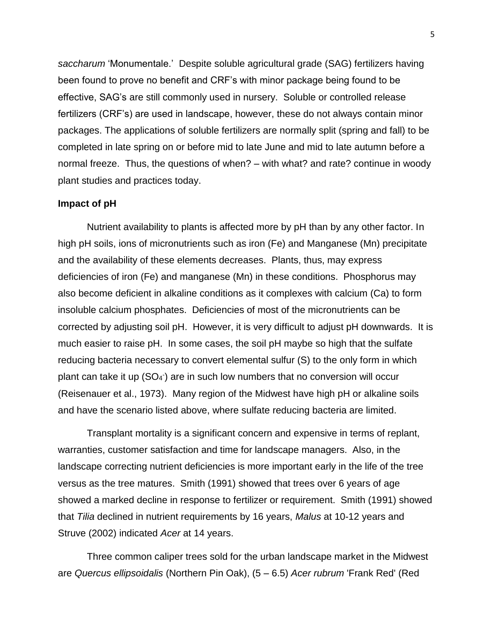*saccharum* 'Monumentale.' Despite soluble agricultural grade (SAG) fertilizers having been found to prove no benefit and CRF's with minor package being found to be effective, SAG's are still commonly used in nursery. Soluble or controlled release fertilizers (CRF's) are used in landscape, however, these do not always contain minor packages. The applications of soluble fertilizers are normally split (spring and fall) to be completed in late spring on or before mid to late June and mid to late autumn before a normal freeze. Thus, the questions of when? – with what? and rate? continue in woody plant studies and practices today.

### **Impact of pH**

Nutrient availability to plants is affected more by pH than by any other factor. In high pH soils, ions of micronutrients such as iron (Fe) and Manganese (Mn) precipitate and the availability of these elements decreases. Plants, thus, may express deficiencies of iron (Fe) and manganese (Mn) in these conditions. Phosphorus may also become deficient in alkaline conditions as it complexes with calcium (Ca) to form insoluble calcium phosphates. Deficiencies of most of the micronutrients can be corrected by adjusting soil pH. However, it is very difficult to adjust pH downwards. It is much easier to raise pH. In some cases, the soil pH maybe so high that the sulfate reducing bacteria necessary to convert elemental sulfur (S) to the only form in which plant can take it up (SO<sub>4</sub>) are in such low numbers that no conversion will occur (Reisenauer et al., 1973). Many region of the Midwest have high pH or alkaline soils and have the scenario listed above, where sulfate reducing bacteria are limited.

Transplant mortality is a significant concern and expensive in terms of replant, warranties, customer satisfaction and time for landscape managers. Also, in the landscape correcting nutrient deficiencies is more important early in the life of the tree versus as the tree matures. Smith (1991) showed that trees over 6 years of age showed a marked decline in response to fertilizer or requirement. Smith (1991) showed that *Tilia* declined in nutrient requirements by 16 years, *Malus* at 10-12 years and Struve (2002) indicated *Acer* at 14 years.

Three common caliper trees sold for the urban landscape market in the Midwest are *Quercus ellipsoidalis* (Northern Pin Oak), (5 – 6.5) *Acer rubrum* 'Frank Red' (Red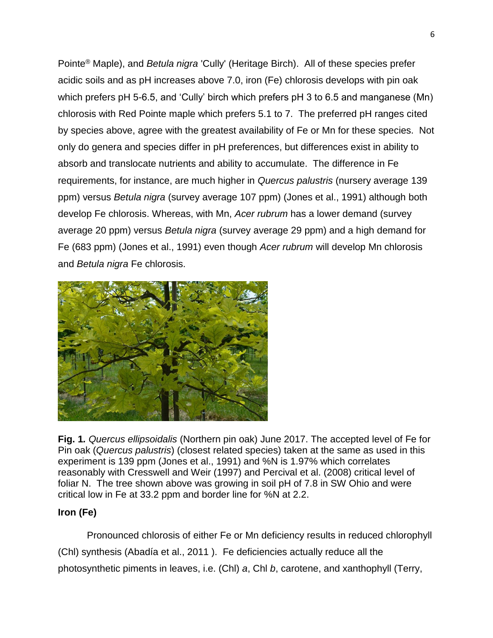Pointe® Maple), and *Betula nigra* 'Cully' (Heritage Birch). All of these species prefer acidic soils and as pH increases above 7.0, iron (Fe) chlorosis develops with pin oak which prefers pH 5-6.5, and 'Cully' birch which prefers pH 3 to 6.5 and manganese (Mn) chlorosis with Red Pointe maple which prefers 5.1 to 7. The preferred pH ranges cited by species above, agree with the greatest availability of Fe or Mn for these species. Not only do genera and species differ in pH preferences, but differences exist in ability to absorb and translocate nutrients and ability to accumulate. The difference in Fe requirements, for instance, are much higher in *Quercus palustris* (nursery average 139 ppm) versus *Betula nigra* (survey average 107 ppm) (Jones et al., 1991) although both develop Fe chlorosis. Whereas, with Mn, *Acer rubrum* has a lower demand (survey average 20 ppm) versus *Betula nigra* (survey average 29 ppm) and a high demand for Fe (683 ppm) (Jones et al., 1991) even though *Acer rubrum* will develop Mn chlorosis and *Betula nigra* Fe chlorosis.



**Fig. 1***. Quercus ellipsoidalis* (Northern pin oak) June 2017. The accepted level of Fe for Pin oak (*Quercus palustris*) (closest related species) taken at the same as used in this experiment is 139 ppm (Jones et al., 1991) and %N is 1.97% which correlates reasonably with Cresswell and Weir (1997) and Percival et al. (2008) critical level of foliar N. The tree shown above was growing in soil pH of 7.8 in SW Ohio and were critical low in Fe at 33.2 ppm and border line for %N at 2.2.

# **Iron (Fe)**

Pronounced chlorosis of either Fe or Mn deficiency results in reduced chlorophyll (Chl) synthesis (Abadía et al., 2011 ). Fe deficiencies actually reduce all the photosynthetic piments in leaves, i.e. (Chl) *a*, Chl *b*, carotene, and xanthophyll (Terry,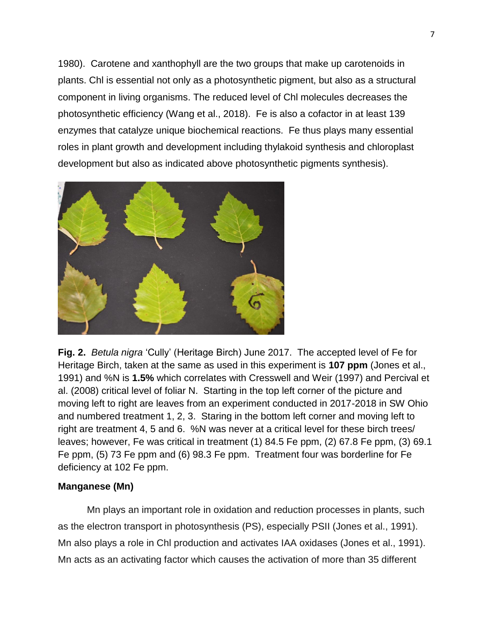1980). Carotene and xanthophyll are the two groups that make up carotenoids in plants. Chl is essential not only as a photosynthetic pigment, but also as a structural component in living organisms. The reduced level of Chl molecules decreases the photosynthetic efficiency (Wang et al., 2018). Fe is also a cofactor in at least 139 enzymes that catalyze unique biochemical reactions. Fe thus plays many essential roles in plant growth and development including thylakoid synthesis and chloroplast development but also as indicated above photosynthetic pigments synthesis).



**Fig. 2.** *Betula nigra* 'Cully' (Heritage Birch) June 2017. The accepted level of Fe for Heritage Birch, taken at the same as used in this experiment is **107 ppm** (Jones et al., 1991) and %N is **1.5%** which correlates with Cresswell and Weir (1997) and Percival et al. (2008) critical level of foliar N. Starting in the top left corner of the picture and moving left to right are leaves from an experiment conducted in 2017-2018 in SW Ohio and numbered treatment 1, 2, 3. Staring in the bottom left corner and moving left to right are treatment 4, 5 and 6. %N was never at a critical level for these birch trees/ leaves; however, Fe was critical in treatment (1) 84.5 Fe ppm, (2) 67.8 Fe ppm, (3) 69.1 Fe ppm, (5) 73 Fe ppm and (6) 98.3 Fe ppm. Treatment four was borderline for Fe deficiency at 102 Fe ppm.

### **Manganese (Mn)**

Mn plays an important role in oxidation and reduction processes in plants, such as the electron transport in photosynthesis (PS), especially PSII (Jones et al., 1991). Mn also plays a role in Chl production and activates IAA oxidases (Jones et al., 1991). Mn acts as an activating factor which causes the activation of more than 35 different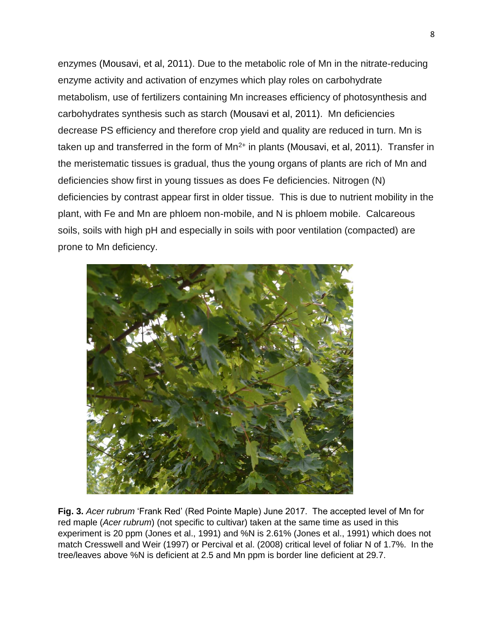enzymes (Mousavi, et al, 2011). Due to the metabolic role of Mn in the nitrate-reducing enzyme activity and activation of enzymes which play roles on carbohydrate metabolism, use of fertilizers containing Mn increases efficiency of photosynthesis and carbohydrates synthesis such as starch (Mousavi et al, 2011). Mn deficiencies decrease PS efficiency and therefore crop yield and quality are reduced in turn. Mn is taken up and transferred in the form of  $Mn^{2+}$  in plants (Mousavi, et al, 2011). Transfer in the meristematic tissues is gradual, thus the young organs of plants are rich of Mn and deficiencies show first in young tissues as does Fe deficiencies. Nitrogen (N) deficiencies by contrast appear first in older tissue. This is due to nutrient mobility in the plant, with Fe and Mn are phloem non-mobile, and N is phloem mobile. Calcareous soils, soils with high pH and especially in soils with poor ventilation (compacted) are prone to Mn deficiency.



**Fig. 3.** *Acer rubrum* 'Frank Red' (Red Pointe Maple) June 2017. The accepted level of Mn for red maple (*Acer rubrum*) (not specific to cultivar) taken at the same time as used in this experiment is 20 ppm (Jones et al., 1991) and %N is 2.61% (Jones et al., 1991) which does not match Cresswell and Weir (1997) or Percival et al. (2008) critical level of foliar N of 1.7%. In the tree/leaves above %N is deficient at 2.5 and Mn ppm is border line deficient at 29.7.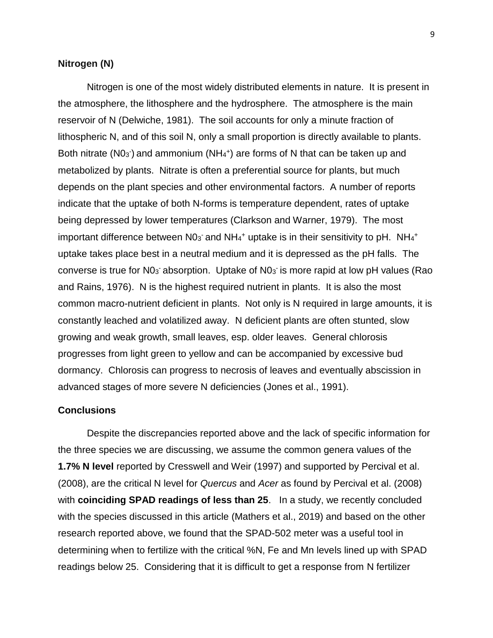### **Nitrogen (N)**

Nitrogen is one of the most widely distributed elements in nature. It is present in the atmosphere, the lithosphere and the hydrosphere. The atmosphere is the main reservoir of N (Delwiche, 1981). The soil accounts for only a minute fraction of lithospheric N, and of this soil N, only a small proportion is directly available to plants. Both nitrate ( $NO<sub>3</sub>$ ) and ammonium ( $NH<sub>4</sub>$ <sup>+</sup>) are forms of N that can be taken up and metabolized by plants. Nitrate is often a preferential source for plants, but much depends on the plant species and other environmental factors. A number of reports indicate that the uptake of both N-forms is temperature dependent, rates of uptake being depressed by lower temperatures (Clarkson and Warner, 1979). The most important difference between  $N0<sub>3</sub>$  and  $NH<sub>4</sub><sup>+</sup>$  uptake is in their sensitivity to pH.  $NH<sub>4</sub><sup>+</sup>$ uptake takes place best in a neutral medium and it is depressed as the pH falls. The converse is true for  $N0<sub>3</sub>$  absorption. Uptake of  $N0<sub>3</sub>$  is more rapid at low pH values (Rao and Rains, 1976). N is the highest required nutrient in plants. It is also the most common macro-nutrient deficient in plants. Not only is N required in large amounts, it is constantly leached and volatilized away. N deficient plants are often stunted, slow growing and weak growth, small leaves, esp. older leaves. General chlorosis progresses from light green to yellow and can be accompanied by excessive bud dormancy. Chlorosis can progress to necrosis of leaves and eventually abscission in advanced stages of more severe N deficiencies (Jones et al., 1991).

### **Conclusions**

Despite the discrepancies reported above and the lack of specific information for the three species we are discussing, we assume the common genera values of the **1.7% N level** reported by Cresswell and Weir (1997) and supported by Percival et al. (2008), are the critical N level for *Quercus* and *Acer* as found by Percival et al. (2008) with **coinciding SPAD readings of less than 25**. In a study, we recently concluded with the species discussed in this article (Mathers et al., 2019) and based on the other research reported above, we found that the SPAD-502 meter was a useful tool in determining when to fertilize with the critical %N, Fe and Mn levels lined up with SPAD readings below 25. Considering that it is difficult to get a response from N fertilizer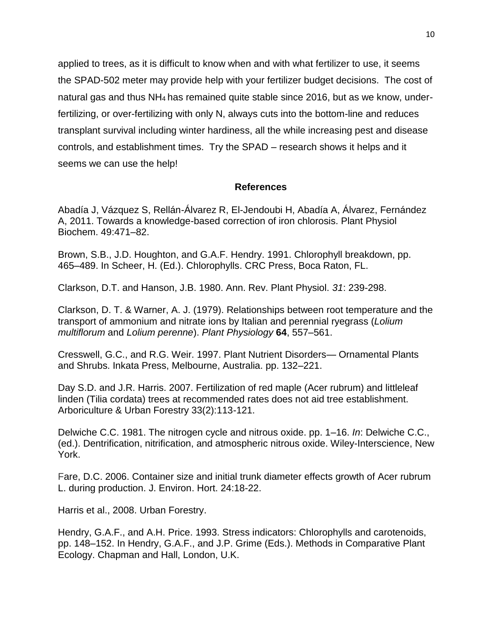applied to trees, as it is difficult to know when and with what fertilizer to use, it seems the SPAD-502 meter may provide help with your fertilizer budget decisions. The cost of natural gas and thus NH<sup>4</sup> has remained quite stable since 2016, but as we know, underfertilizing, or over-fertilizing with only N, always cuts into the bottom-line and reduces transplant survival including winter hardiness, all the while increasing pest and disease controls, and establishment times. Try the SPAD – research shows it helps and it seems we can use the help!

### **References**

Abadía J, Vázquez S, Rellán-Álvarez R, El-Jendoubi H, Abadía A, Álvarez, Fernández A, 2011. Towards a knowledge-based correction of iron chlorosis. Plant Physiol Biochem. 49:471–82.

Brown, S.B., J.D. Houghton, and G.A.F. Hendry. 1991. Chlorophyll breakdown, pp. 465–489. In Scheer, H. (Ed.). Chlorophylls. CRC Press, Boca Raton, FL.

Clarkson, D.T. and Hanson, J.B. 1980. Ann. Rev. Plant Physiol. *31*: 239-298.

Clarkson, D. T. & Warner, A. J. (1979). Relationships between root temperature and the transport of ammonium and nitrate ions by Italian and perennial ryegrass (*Lolium multiflorum* and *Lolium perenne*). *Plant Physiology* **64**, 557–561.

Cresswell, G.C., and R.G. Weir. 1997. Plant Nutrient Disorders— Ornamental Plants and Shrubs. Inkata Press, Melbourne, Australia. pp. 132–221.

Day S.D. and J.R. Harris. 2007. Fertilization of red maple (Acer rubrum) and littleleaf linden (Tilia cordata) trees at recommended rates does not aid tree establishment. Arboriculture & Urban Forestry 33(2):113-121.

Delwiche C.C. 1981. The nitrogen cycle and nitrous oxide. pp. 1–16. *In*: Delwiche C.C., (ed.). Dentrification, nitrification, and atmospheric nitrous oxide. Wiley-Interscience, New York.

Fare, D.C. 2006. Container size and initial trunk diameter effects growth of Acer rubrum L. during production. J. Environ. Hort. 24:18-22.

Harris et al., 2008. Urban Forestry.

Hendry, G.A.F., and A.H. Price. 1993. Stress indicators: Chlorophylls and carotenoids, pp. 148–152. In Hendry, G.A.F., and J.P. Grime (Eds.). Methods in Comparative Plant Ecology. Chapman and Hall, London, U.K.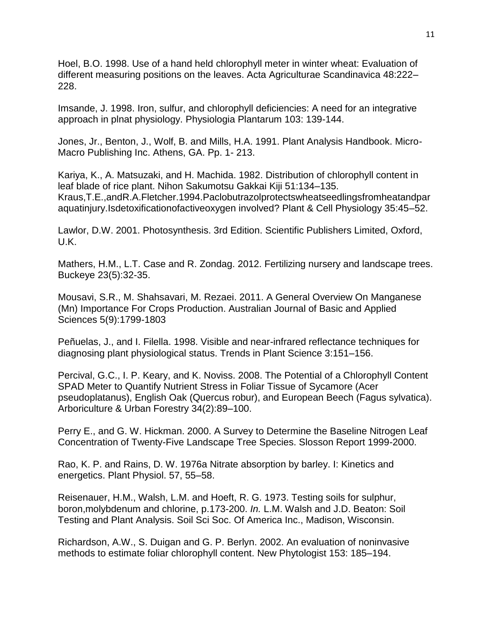Hoel, B.O. 1998. Use of a hand held chlorophyll meter in winter wheat: Evaluation of different measuring positions on the leaves. Acta Agriculturae Scandinavica 48:222– 228.

Imsande, J. 1998. Iron, sulfur, and chlorophyll deficiencies: A need for an integrative approach in plnat physiology. Physiologia Plantarum 103: 139-144.

Jones, Jr., Benton, J., Wolf, B. and Mills, H.A. 1991. Plant Analysis Handbook. Micro-Macro Publishing Inc. Athens, GA. Pp. 1- 213.

Kariya, K., A. Matsuzaki, and H. Machida. 1982. Distribution of chlorophyll content in leaf blade of rice plant. Nihon Sakumotsu Gakkai Kiji 51:134–135. Kraus,T.E.,andR.A.Fletcher.1994.Paclobutrazolprotectswheatseedlingsfromheatandpar aquatinjury.Isdetoxificationofactiveoxygen involved? Plant & Cell Physiology 35:45–52.

Lawlor, D.W. 2001. Photosynthesis. 3rd Edition. Scientific Publishers Limited, Oxford, U.K.

Mathers, H.M., L.T. Case and R. Zondag. 2012. Fertilizing nursery and landscape trees. Buckeye 23(5):32-35.

[Mousavi,](https://www.researchgate.net/profile/Sayed_Roholla_Mousavi?_sg=axvqWgF46p89JWCKDfP35U1e1ZH1sX5pJposM3oNH020KT2egA6mmcf8nDBb4PQbeY4Vtak.wt-4_MlnrU0weMulTOYHiiF2MyPWu7t-cuVHyNQCalTgFBecUIIA-7RvOQ7a6vb1rr2o1IpxA_vZ4r64Agx4Sw) S.R., M. [Shahsavari,](https://www.researchgate.net/scientific-contributions/65512317_Mahmood_Shahsavari?_sg=axvqWgF46p89JWCKDfP35U1e1ZH1sX5pJposM3oNH020KT2egA6mmcf8nDBb4PQbeY4Vtak.wt-4_MlnrU0weMulTOYHiiF2MyPWu7t-cuVHyNQCalTgFBecUIIA-7RvOQ7a6vb1rr2o1IpxA_vZ4r64Agx4Sw) M. [Rezaei.](https://www.researchgate.net/scientific-contributions/2114952896_Maryam_Rezaei?_sg=axvqWgF46p89JWCKDfP35U1e1ZH1sX5pJposM3oNH020KT2egA6mmcf8nDBb4PQbeY4Vtak.wt-4_MlnrU0weMulTOYHiiF2MyPWu7t-cuVHyNQCalTgFBecUIIA-7RvOQ7a6vb1rr2o1IpxA_vZ4r64Agx4Sw) 2011. A General Overview On Manganese (Mn) Importance For Crops Production. Australian Journal of Basic and Applied Sciences 5(9):1799-1803

Peñuelas, J., and I. Filella. 1998. Visible and near-infrared reflectance techniques for diagnosing plant physiological status. Trends in Plant Science 3:151–156.

Percival, G.C., I. P. Keary, and K. Noviss. 2008. The Potential of a Chlorophyll Content SPAD Meter to Quantify Nutrient Stress in Foliar Tissue of Sycamore (Acer pseudoplatanus), English Oak (Quercus robur), and European Beech (Fagus sylvatica). Arboriculture & Urban Forestry 34(2):89–100.

Perry E., and G. W. Hickman. 2000. A Survey to Determine the Baseline Nitrogen Leaf Concentration of Twenty-Five Landscape Tree Species. Slosson Report 1999-2000.

Rao, K. P. and Rains, D. W. 1976a Nitrate absorption by barley. I: Kinetics and energetics. Plant Physiol. 57, 55–58.

Reisenauer, H.M., Walsh, L.M. and Hoeft, R. G. 1973. Testing soils for sulphur, boron,molybdenum and chlorine, p.173-200. *In.* L.M. Walsh and J.D. Beaton: Soil Testing and Plant Analysis. Soil Sci Soc. Of America Inc., Madison, Wisconsin.

Richardson, A.W., S. Duigan and G. P. Berlyn. 2002. An evaluation of noninvasive methods to estimate foliar chlorophyll content. New Phytologist 153: 185–194.